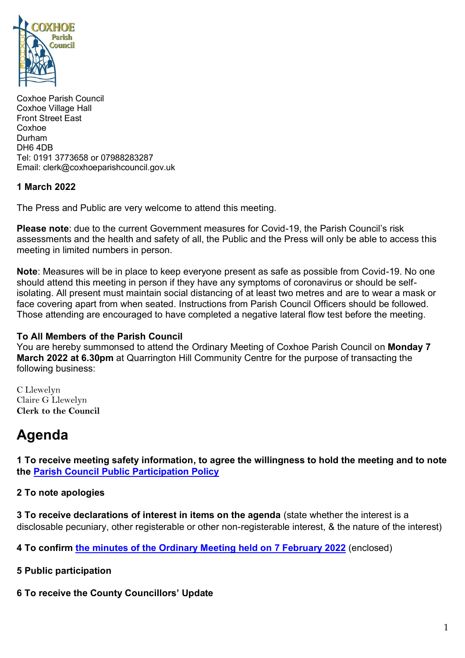

Coxhoe Parish Council Coxhoe Village Hall Front Street East Coxhoe Durham DH6 4DB Tel: 0191 3773658 or 07988283287 Email: clerk@coxhoeparishcouncil.gov.uk

## **1 March 2022**

The Press and Public are very welcome to attend this meeting.

**Please note**: due to the current Government measures for Covid-19, the Parish Council's risk assessments and the health and safety of all, the Public and the Press will only be able to access this meeting in limited numbers in person.

**Note**: Measures will be in place to keep everyone present as safe as possible from Covid-19. No one should attend this meeting in person if they have any symptoms of coronavirus or should be selfisolating. All present must maintain social distancing of at least two metres and are to wear a mask or face covering apart from when seated. Instructions from Parish Council Officers should be followed. Those attending are encouraged to have completed a negative lateral flow test before the meeting.

### **To All Members of the Parish Council**

You are hereby summonsed to attend the Ordinary Meeting of Coxhoe Parish Council on **Monday 7 March 2022 at 6.30pm** at Quarrington Hill Community Centre for the purpose of transacting the following business:

C Llewelyn Claire G Llewelyn **Clerk to the Council** 

# **Agenda**

**1 To receive meeting safety information, to agree the willingness to hold the meeting and to note the [Parish Council Public Participation Policy](http://coxhoeparishcouncil.gov.uk/important-documents-and-policies/public-participation-policy-fmarch-2020-review-date-march-2022/)**

### **2 To note apologies**

**3 To receive declarations of interest in items on the agenda** (state whether the interest is a disclosable pecuniary, other registerable or other non-registerable interest, & the nature of the interest)

**4 To confirm [the minutes of the Ordinary Meeting held on 7](https://1drv.ms/b/s!Alg_TKmu7xwUgd9HEy3xCHSZFaFkOA?e=jeT1e7) February 2022** (enclosed)

- **5 Public participation**
- **6 To receive the County Councillors' Update**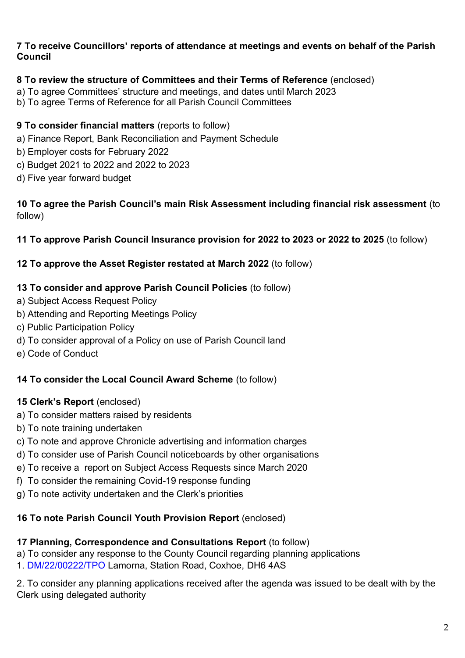## **7 To receive Councillors' reports of attendance at meetings and events on behalf of the Parish Council**

## **8 To review the structure of Committees and their Terms of Reference** (enclosed)

- a) To agree Committees' structure and meetings, and dates until March 2023
- b) To agree Terms of Reference for all Parish Council Committees

## **9 To consider financial matters** (reports to follow)

- a) Finance Report, Bank Reconciliation and Payment Schedule
- b) Employer costs for February 2022
- c) Budget 2021 to 2022 and 2022 to 2023
- d) Five year forward budget

## **10 To agree the Parish Council's main Risk Assessment including financial risk assessment** (to follow)

## **11 To approve Parish Council Insurance provision for 2022 to 2023 or 2022 to 2025** (to follow)

## **12 To approve the Asset Register restated at March 2022** (to follow)

## **13 To consider and approve Parish Council Policies** (to follow)

- a) Subject Access Request Policy
- b) Attending and Reporting Meetings Policy
- c) Public Participation Policy
- d) To consider approval of a Policy on use of Parish Council land
- e) Code of Conduct

## **14 To consider the Local Council Award Scheme** (to follow)

## **15 Clerk's Report** (enclosed)

- a) To consider matters raised by residents
- b) To note training undertaken
- c) To note and approve Chronicle advertising and information charges
- d) To consider use of Parish Council noticeboards by other organisations
- e) To receive a report on Subject Access Requests since March 2020
- f) To consider the remaining Covid-19 response funding
- g) To note activity undertaken and the Clerk's priorities

# **16 To note Parish Council Youth Provision Report** (enclosed)

## **17 Planning, Correspondence and Consultations Report** (to follow)

- a) To consider any response to the County Council regarding planning applications
- 1. [DM/22/00222/TPO](https://publicaccess.durham.gov.uk/online-applications/applicationDetails.do?activeTab=summary&keyVal=R6BQ5TGD0GO00) Lamorna, Station Road, Coxhoe, DH6 4AS

2. To consider any planning applications received after the agenda was issued to be dealt with by the Clerk using delegated authority